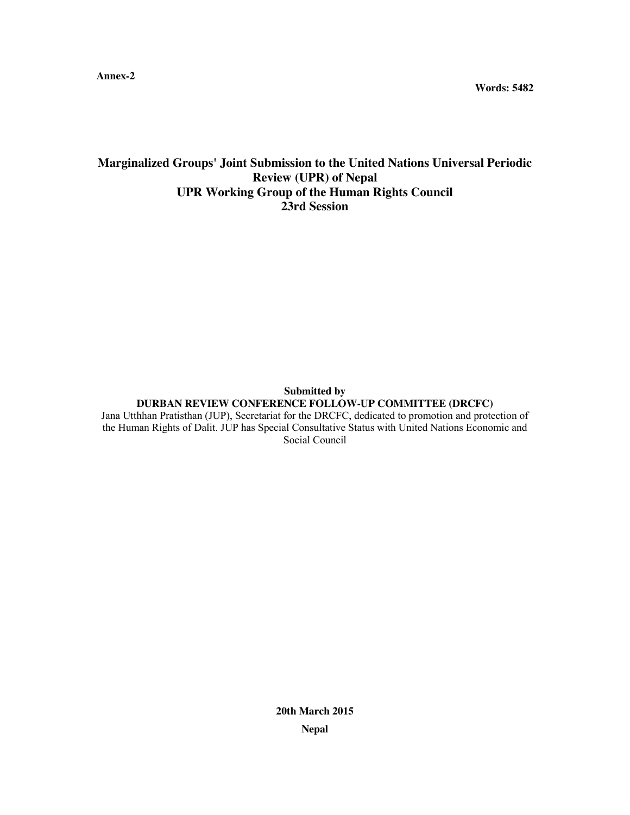**Annex-2**

**Words: 5482**

# **Marginalized Groups' Joint Submission to the United Nations Universal Periodic Review (UPR) of Nepal UPR Working Group of the Human Rights Council 23rd Session**

#### **Submitted by DURBAN REVIEW CONFERENCE FOLLOW-UP COMMITTEE (DRCFC)** Jana Utthhan Pratisthan (JUP), Secretariat for the DRCFC, dedicated to promotion and protection of

the Human Rights of Dalit. JUP has Special Consultative Status with United Nations Economic and Social Council

> **20th March 2015 Nepal**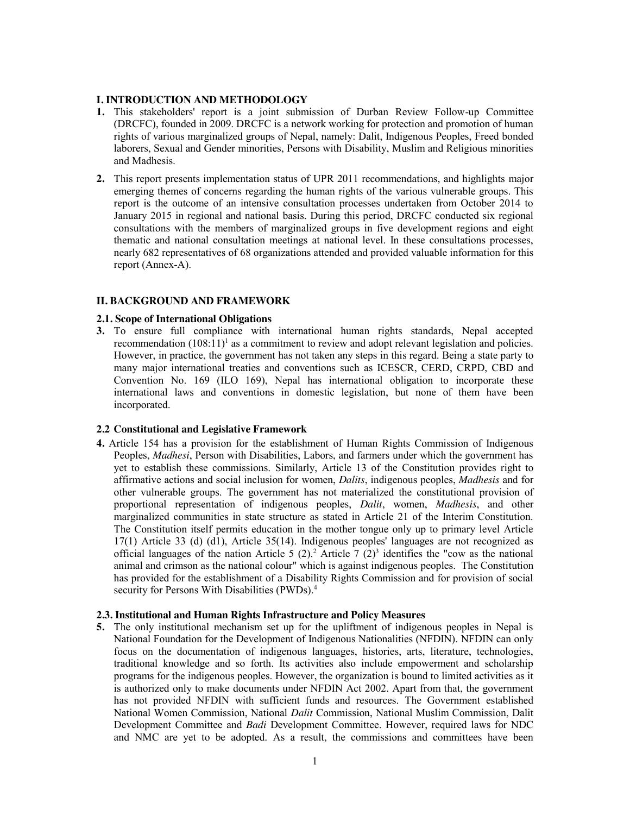#### **I. INTRODUCTION AND METHODOLOGY**

- **1.** This stakeholders' report is a joint submission of Durban Review Follow-up Committee (DRCFC), founded in 2009. DRCFC is a network working for protection and promotion of human rights of various marginalized groups of Nepal, namely: Dalit, Indigenous Peoples, Freed bonded laborers, Sexual and Gender minorities, Persons with Disability, Muslim and Religious minorities and Madhesis.
- **2.** This report presents implementation status of UPR 2011 recommendations, and highlights major emerging themes of concerns regarding the human rights of the various vulnerable groups. This report is the outcome of an intensive consultation processes undertaken from October 2014 to January 2015 in regional and national basis. During this period, DRCFC conducted six regional consultations with the members of marginalized groups in five development regions and eight thematic and national consultation meetings at national level. In these consultations processes, nearly 682 representatives of 68 organizations attended and provided valuable information for this report (Annex-A).

#### **II. BACKGROUND AND FRAMEWORK**

#### **2.1. Scope of International Obligations**

**3.** To ensure full compliance with international human rights standards, Nepal accepted recommendation  $(108:11)^1$  as a commitment to review and adopt relevant legislation and policies. However, in practice, the government has not taken any steps in this regard. Being a state party to many major international treaties and conventions such as ICESCR, CERD, CRPD, CBD and Convention No. 169 (ILO 169), Nepal has international obligation to incorporate these international laws and conventions in domestic legislation, but none of them have been incorporated.

#### **2.2 Constitutional and Legislative Framework**

**4.** Article 154 has a provision for the establishment of Human Rights Commission of Indigenous Peoples, *Madhesi*, Person with Disabilities, Labors, and farmers under which the government has yet to establish these commissions. Similarly, Article 13 of the Constitution provides right to affirmative actions and social inclusion for women, *Dalits*, indigenous peoples, *Madhesis* and for other vulnerable groups. The government has not materialized the constitutional provision of proportional representation of indigenous peoples, *Dalit*, women, *Madhesis*, and other marginalized communities in state structure as stated in Article 21 of the Interim Constitution. The Constitution itself permits education in the mother tongue only up to primary level Article 17(1) Article 33 (d) (d1), Article 35(14). Indigenous peoples' languages are not recognized as official languages of the nation Article 5 (2).<sup>2</sup> Article 7 (2)<sup>3</sup> identifies the "cow as the national animal and crimson as the national colour" which is against indigenous peoples. The Constitution has provided for the establishment of a Disability Rights Commission and for provision of social security for Persons With Disabilities (PWDs).<sup>4</sup>

#### **2.3. Institutional and Human Rights Infrastructure and Policy Measures**

**5.** The only institutional mechanism set up for the upliftment of indigenous peoples in Nepal is National Foundation for the Development of Indigenous Nationalities (NFDIN). NFDIN can only focus on the documentation of indigenous languages, histories, arts, literature, technologies, traditional knowledge and so forth. Its activities also include empowerment and scholarship programs for the indigenous peoples. However, the organization is bound to limited activities as it is authorized only to make documents under NFDIN Act 2002. Apart from that, the government has not provided NFDIN with sufficient funds and resources. The Government established National Women Commission, National *Dalit* Commission, National Muslim Commission, Dalit Development Committee and *Badi* Development Committee. However, required laws for NDC and NMC are yet to be adopted. As a result, the commissions and committees have been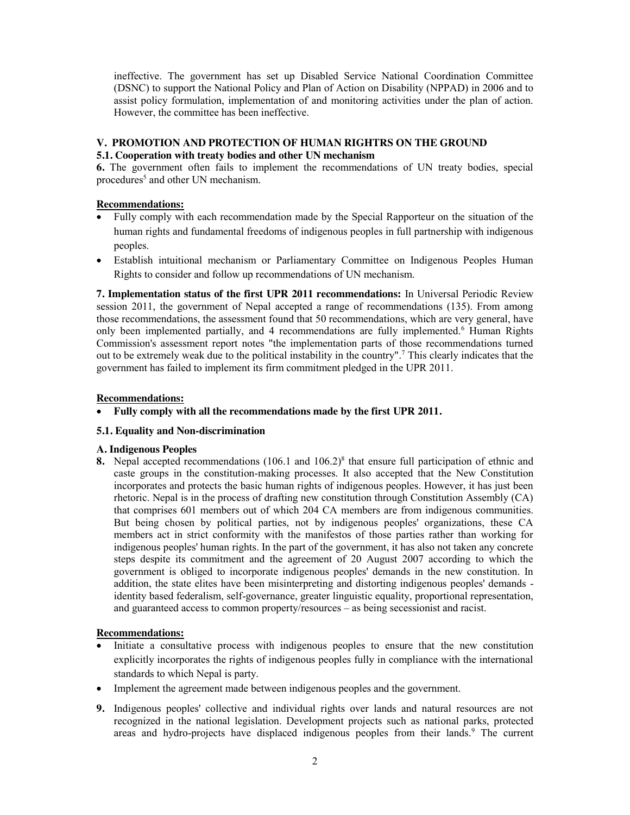ineffective. The government has set up Disabled Service National Coordination Committee (DSNC) to support the National Policy and Plan of Action on Disability (NPPAD) in 2006 and to assist policy formulation, implementation of and monitoring activities under the plan of action. However, the committee has been ineffective.

### **V. PROMOTION AND PROTECTION OF HUMAN RIGHTRS ON THE GROUND**

#### **5.1. Cooperation with treaty bodies and other UN mechanism**

**6.** The government often fails to implement the recommendations of UN treaty bodies, special procedures<sup>5</sup> and other UN mechanism.

### **Recommendations:**

- Fully comply with each recommendation made by the Special Rapporteur on the situation of the human rights and fundamental freedoms of indigenous peoples in full partnership with indigenous peoples.
- x Establish intuitional mechanism or Parliamentary Committee on Indigenous Peoples Human Rights to consider and follow up recommendations of UN mechanism.

**7. Implementation status of the first UPR 2011 recommendations:** In Universal Periodic Review session 2011, the government of Nepal accepted a range of recommendations (135). From among those recommendations, the assessment found that 50 recommendations, which are very general, have only been implemented partially, and 4 recommendations are fully implemented.6 Human Rights Commission's assessment report notes "the implementation parts of those recommendations turned out to be extremely weak due to the political instability in the country".7 This clearly indicates that the government has failed to implement its firm commitment pledged in the UPR 2011.

### **Recommendations:**

• Fully comply with all the recommendations made by the first UPR 2011.

#### **5.1. Equality and Non-discrimination**

#### **A. Indigenous Peoples**

**8.** Nepal accepted recommendations (106.1 and 106.2)<sup>8</sup> that ensure full participation of ethnic and caste groups in the constitution-making processes. It also accepted that the New Constitution incorporates and protects the basic human rights of indigenous peoples. However, it has just been rhetoric. Nepal is in the process of drafting new constitution through Constitution Assembly (CA) that comprises 601 members out of which 204 CA members are from indigenous communities. But being chosen by political parties, not by indigenous peoples' organizations, these CA members act in strict conformity with the manifestos of those parties rather than working for indigenous peoples' human rights. In the part of the government, it has also not taken any concrete steps despite its commitment and the agreement of 20 August 2007 according to which the government is obliged to incorporate indigenous peoples' demands in the new constitution. In addition, the state elites have been misinterpreting and distorting indigenous peoples' demands identity based federalism, self-governance, greater linguistic equality, proportional representation, and guaranteed access to common property/resources – as being secessionist and racist.

- x Initiate a consultative process with indigenous peoples to ensure that the new constitution explicitly incorporates the rights of indigenous peoples fully in compliance with the international standards to which Nepal is party.
- Implement the agreement made between indigenous peoples and the government.
- **9.** Indigenous peoples' collective and individual rights over lands and natural resources are not recognized in the national legislation. Development projects such as national parks, protected areas and hydro-projects have displaced indigenous peoples from their lands.<sup>9</sup> The current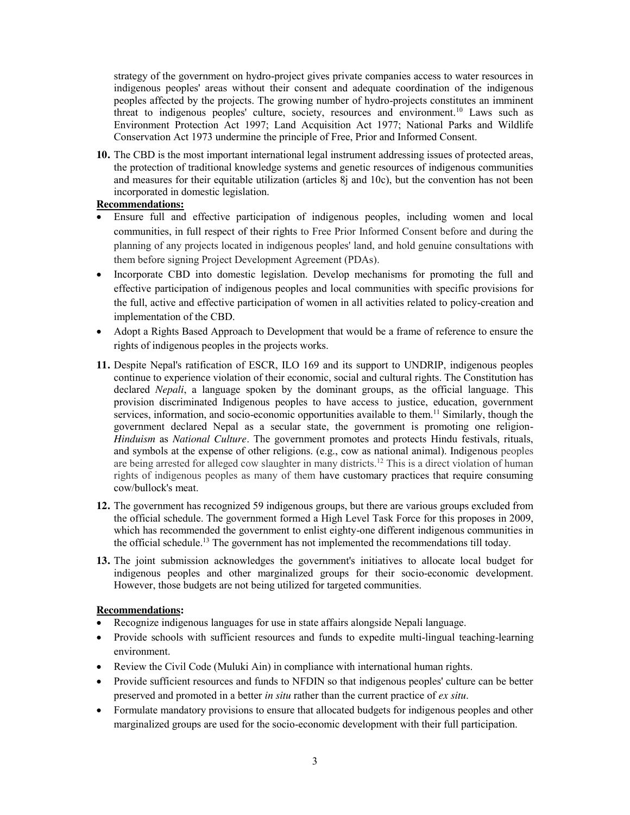strategy of the government on hydro-project gives private companies access to water resources in indigenous peoples' areas without their consent and adequate coordination of the indigenous peoples affected by the projects. The growing number of hydro-projects constitutes an imminent threat to indigenous peoples' culture, society, resources and environment.10 Laws such as Environment Protection Act 1997; Land Acquisition Act 1977; National Parks and Wildlife Conservation Act 1973 undermine the principle of Free, Prior and Informed Consent.

**10.** The CBD is the most important international legal instrument addressing issues of protected areas, the protection of traditional knowledge systems and genetic resources of indigenous communities and measures for their equitable utilization (articles 8j and 10c), but the convention has not been incorporated in domestic legislation.

## **Recommendations:**

- Ensure full and effective participation of indigenous peoples, including women and local communities, in full respect of their rights to Free Prior Informed Consent before and during the planning of any projects located in indigenous peoples' land, and hold genuine consultations with them before signing Project Development Agreement (PDAs).
- Incorporate CBD into domestic legislation. Develop mechanisms for promoting the full and effective participation of indigenous peoples and local communities with specific provisions for the full, active and effective participation of women in all activities related to policy-creation and implementation of the CBD.
- Adopt a Rights Based Approach to Development that would be a frame of reference to ensure the rights of indigenous peoples in the projects works.
- **11.** Despite Nepal's ratification of ESCR, ILO 169 and its support to UNDRIP, indigenous peoples continue to experience violation of their economic, social and cultural rights. The Constitution has declared *Nepali*, a language spoken by the dominant groups, as the official language. This provision discriminated Indigenous peoples to have access to justice, education, government services, information, and socio-economic opportunities available to them.<sup>11</sup> Similarly, though the government declared Nepal as a secular state, the government is promoting one religion-*Hinduism* as *National Culture*. The government promotes and protects Hindu festivals, rituals, and symbols at the expense of other religions. (e.g., cow as national animal). Indigenous peoples are being arrested for alleged cow slaughter in many districts.<sup>12</sup> This is a direct violation of human rights of indigenous peoples as many of them have customary practices that require consuming cow/bullock's meat.
- **12.** The government has recognized 59 indigenous groups, but there are various groups excluded from the official schedule. The government formed a High Level Task Force for this proposes in 2009, which has recommended the government to enlist eighty-one different indigenous communities in the official schedule.<sup>13</sup> The government has not implemented the recommendations till today.
- **13.** The joint submission acknowledges the government's initiatives to allocate local budget for indigenous peoples and other marginalized groups for their socio-economic development. However, those budgets are not being utilized for targeted communities.

- Recognize indigenous languages for use in state affairs alongside Nepali language.
- Provide schools with sufficient resources and funds to expedite multi-lingual teaching-learning environment.
- Review the Civil Code (Muluki Ain) in compliance with international human rights.
- Provide sufficient resources and funds to NFDIN so that indigenous peoples' culture can be better preserved and promoted in a better *in situ* rather than the current practice of *ex situ*.
- Formulate mandatory provisions to ensure that allocated budgets for indigenous peoples and other marginalized groups are used for the socio-economic development with their full participation.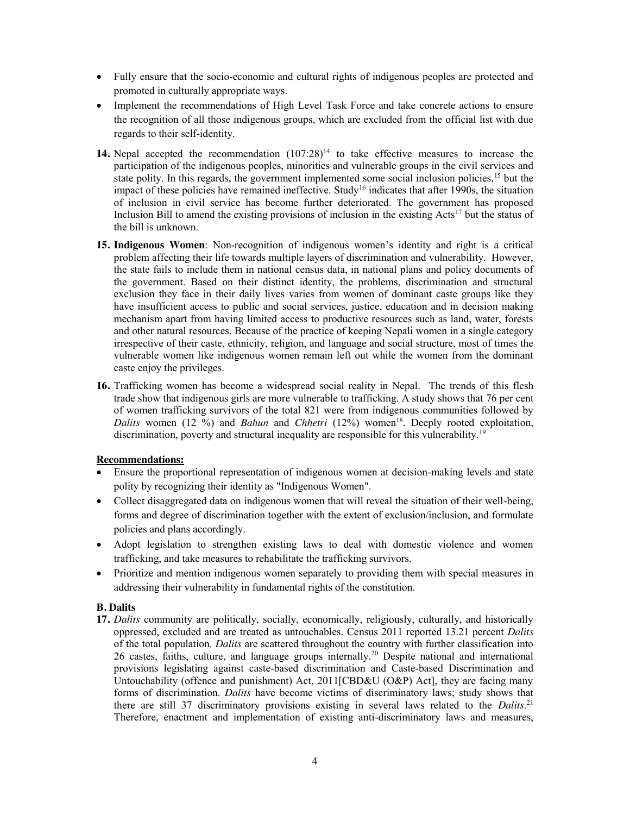- Fully ensure that the socio-economic and cultural rights of indigenous peoples are protected and promoted in culturally appropriate ways.
- Implement the recommendations of High Level Task Force and take concrete actions to ensure the recognition of all those indigenous groups, which are excluded from the official list with due regards to their self-identity.
- **14.** Nepal accepted the recommendation  $(107.28)^{14}$  to take effective measures to increase the participation of the indigenous peoples, minorities and vulnerable groups in the civil services and state polity. In this regards, the government implemented some social inclusion policies, <sup>15</sup> but the impact of these policies have remained ineffective. Study<sup>16</sup> indicates that after 1990s, the situation of inclusion in civil service has become further deteriorated. The government has proposed Inclusion Bill to amend the existing provisions of inclusion in the existing Acts<sup>17</sup> but the status of the bill is unknown.
- **15. Indigenous Women**: Non-recognition of indigenous women's identity and right is a critical problem affecting their life towards multiple layers of discrimination and vulnerability. However, the state fails to include them in national census data, in national plans and policy documents of the government. Based on their distinct identity, the problems, discrimination and structural exclusion they face in their daily lives varies from women of dominant caste groups like they have insufficient access to public and social services, justice, education and in decision making mechanism apart from having limited access to productive resources such as land, water, forests and other natural resources. Because of the practice of keeping Nepali women in a single category irrespective of their caste, ethnicity, religion, and language and social structure, most of times the vulnerable women like indigenous women remain left out while the women from the dominant caste enjoy the privileges.
- **16.** Trafficking women has become a widespread social reality in Nepal. The trends of this flesh trade show that indigenous girls are more vulnerable to trafficking. A study shows that 76 per cent of women trafficking survivors of the total 821 were from indigenous communities followed by *Dalits* women (12 %) and *Bahun* and *Chhetri* (12%) women<sup>18</sup>. Deeply rooted exploitation, discrimination, poverty and structural inequality are responsible for this vulnerability.19

## **Recommendations:**

- Ensure the proportional representation of indigenous women at decision-making levels and state polity by recognizing their identity as "Indigenous Women".
- Collect disaggregated data on indigenous women that will reveal the situation of their well-being, forms and degree of discrimination together with the extent of exclusion/inclusion, and formulate policies and plans accordingly.
- Adopt legislation to strengthen existing laws to deal with domestic violence and women trafficking, and take measures to rehabilitate the trafficking survivors.
- Prioritize and mention indigenous women separately to providing them with special measures in addressing their vulnerability in fundamental rights of the constitution.

## **B. Dalits**

**17.** *Dalits* community are politically, socially, economically, religiously, culturally, and historically oppressed, excluded and are treated as untouchables. Census 2011 reported 13.21 percent *Dalits* of the total population. *Dalits* are scattered throughout the country with further classification into 26 castes, faiths, culture, and language groups internally.20 Despite national and international provisions legislating against caste-based discrimination and Caste-based Discrimination and Untouchability (offence and punishment) Act, 2011[CBD&U (O&P) Act], they are facing many forms of discrimination. *Dalits* have become victims of discriminatory laws; study shows that there are still 37 discriminatory provisions existing in several laws related to the *Dalits.*<sup>21</sup> Therefore, enactment and implementation of existing anti-discriminatory laws and measures,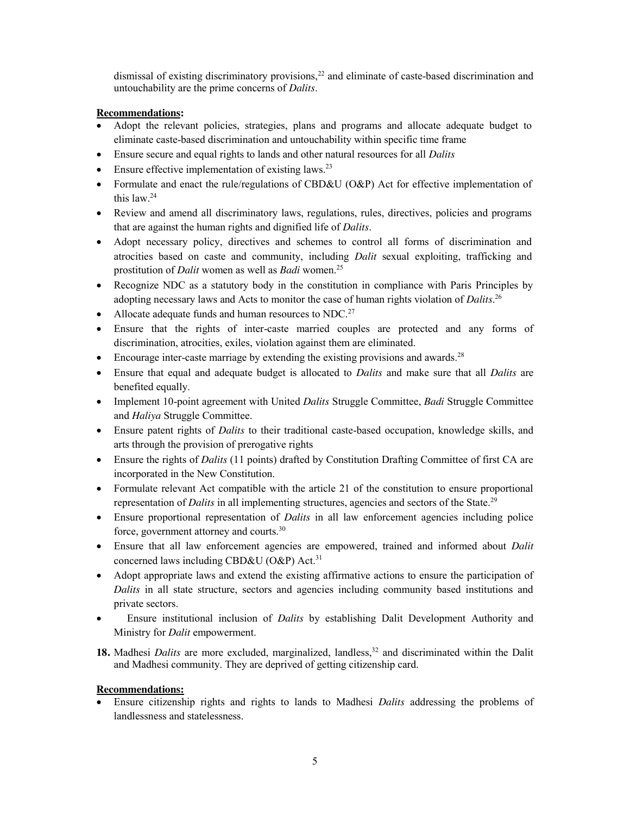dismissal of existing discriminatory provisions,<sup>22</sup> and eliminate of caste-based discrimination and untouchability are the prime concerns of *Dalits*.

## **Recommendations:**

- Adopt the relevant policies, strategies, plans and programs and allocate adequate budget to eliminate caste-based discrimination and untouchability within specific time frame
- x Ensure secure and equal rights to lands and other natural resources for all *Dalits*
- Ensure effective implementation of existing laws. $^{23}$
- Formulate and enact the rule/regulations of CBD&U (O&P) Act for effective implementation of this law.24
- Review and amend all discriminatory laws, regulations, rules, directives, policies and programs that are against the human rights and dignified life of *Dalits*.
- Adopt necessary policy, directives and schemes to control all forms of discrimination and atrocities based on caste and community, including *Dalit* sexual exploiting, trafficking and prostitution of *Dalit* women as well as *Badi* women.25
- Recognize NDC as a statutory body in the constitution in compliance with Paris Principles by adopting necessary laws and Acts to monitor the case of human rights violation of *Dalits*. 26
- Allocate adequate funds and human resources to NDC.<sup>27</sup>
- Ensure that the rights of inter-caste married couples are protected and any forms of discrimination, atrocities, exiles, violation against them are eliminated.
- $\bullet$  Encourage inter-caste marriage by extending the existing provisions and awards.<sup>28</sup>
- x Ensure that equal and adequate budget is allocated to *Dalits* and make sure that all *Dalits* are benefited equally.
- x Implement 10-point agreement with United *Dalits* Struggle Committee, *Badi* Struggle Committee and *Haliya* Struggle Committee.
- Ensure patent rights of *Dalits* to their traditional caste-based occupation, knowledge skills, and arts through the provision of prerogative rights
- Ensure the rights of *Dalits* (11 points) drafted by Constitution Drafting Committee of first CA are incorporated in the New Constitution.
- Formulate relevant Act compatible with the article 21 of the constitution to ensure proportional representation of *Dalits* in all implementing structures, agencies and sectors of the State.<sup>29</sup>
- Ensure proportional representation of *Dalits* in all law enforcement agencies including police force, government attorney and courts.30
- x Ensure that all law enforcement agencies are empowered, trained and informed about *Dalit* concerned laws including CBD&U (O&P) Act.<sup>31</sup>
- Adopt appropriate laws and extend the existing affirmative actions to ensure the participation of *Dalits* in all state structure, sectors and agencies including community based institutions and private sectors.
- x Ensure institutional inclusion of *Dalits* by establishing Dalit Development Authority and Ministry for *Dalit* empowerment.
- **18.** Madhesi *Dalits* are more excluded, marginalized, landless,<sup>32</sup> and discriminated within the Dalit and Madhesi community. They are deprived of getting citizenship card.

## **Recommendations:**

x Ensure citizenship rights and rights to lands to Madhesi *Dalits* addressing the problems of landlessness and statelessness.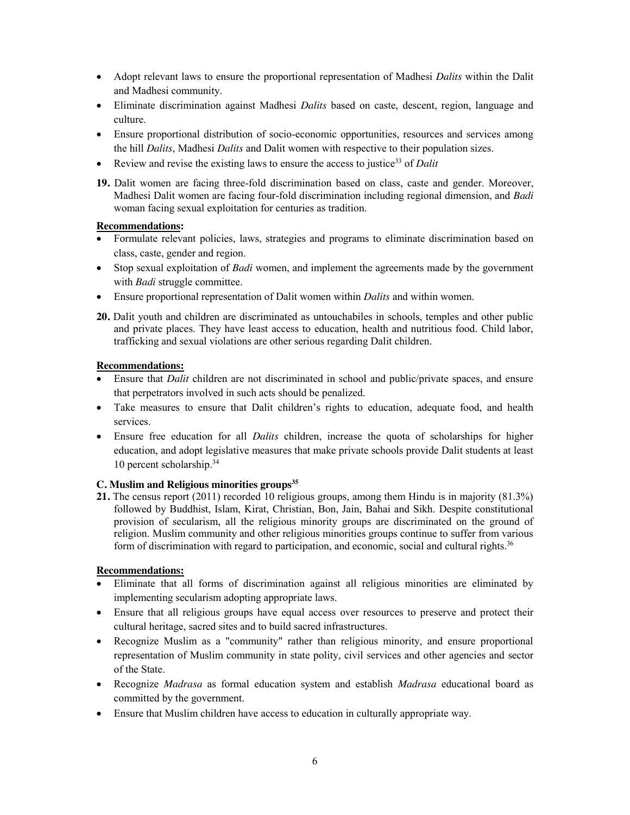- Adopt relevant laws to ensure the proportional representation of Madhesi *Dalits* within the Dalit and Madhesi community.
- Eliminate discrimination against Madhesi *Dalits* based on caste, descent, region, language and culture.
- Ensure proportional distribution of socio-economic opportunities, resources and services among the hill *Dalits*, Madhesi *Dalits* and Dalit women with respective to their population sizes.
- Exercise the existing laws to ensure the access to justice<sup>33</sup> of *Dalit*  $\blacksquare$
- **19.** Dalit women are facing three-fold discrimination based on class, caste and gender. Moreover, Madhesi Dalit women are facing four-fold discrimination including regional dimension, and *Badi* woman facing sexual exploitation for centuries as tradition.

### **Recommendations:**

- Formulate relevant policies, laws, strategies and programs to eliminate discrimination based on class, caste, gender and region.
- Stop sexual exploitation of *Badi* women, and implement the agreements made by the government with *Badi* struggle committee.
- x Ensure proportional representation of Dalit women within *Dalits* and within women.
- **20.** Dalit youth and children are discriminated as untouchabiles in schools, temples and other public and private places. They have least access to education, health and nutritious food. Child labor, trafficking and sexual violations are other serious regarding Dalit children.

#### **Recommendations:**

- Ensure that *Dalit* children are not discriminated in school and public/private spaces, and ensure that perpetrators involved in such acts should be penalized.
- Take measures to ensure that Dalit children's rights to education, adequate food, and health services.
- x Ensure free education for all *Dalits* children, increase the quota of scholarships for higher education, and adopt legislative measures that make private schools provide Dalit students at least 10 percent scholarship.34

## C. Muslim and Religious minorities groups<sup>35</sup>

**21.** The census report (2011) recorded 10 religious groups, among them Hindu is in majority (81.3%) followed by Buddhist, Islam, Kirat, Christian, Bon, Jain, Bahai and Sikh. Despite constitutional provision of secularism, all the religious minority groups are discriminated on the ground of religion. Muslim community and other religious minorities groups continue to suffer from various form of discrimination with regard to participation, and economic, social and cultural rights.<sup>36</sup>

- Eliminate that all forms of discrimination against all religious minorities are eliminated by implementing secularism adopting appropriate laws.
- Ensure that all religious groups have equal access over resources to preserve and protect their cultural heritage, sacred sites and to build sacred infrastructures.
- Recognize Muslim as a "community" rather than religious minority, and ensure proportional representation of Muslim community in state polity, civil services and other agencies and sector of the State.
- x Recognize *Madrasa* as formal education system and establish *Madrasa* educational board as committed by the government.
- **•** Ensure that Muslim children have access to education in culturally appropriate way.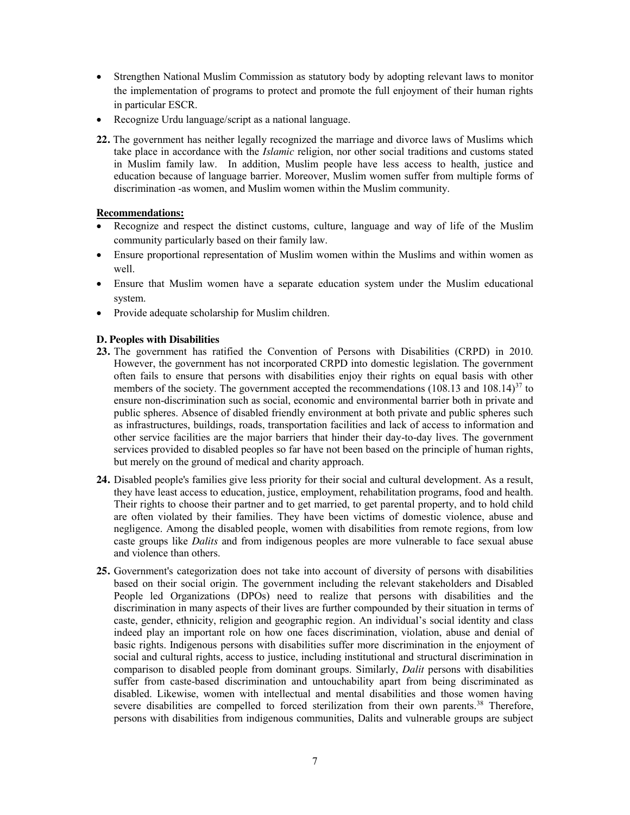- Strengthen National Muslim Commission as statutory body by adopting relevant laws to monitor the implementation of programs to protect and promote the full enjoyment of their human rights in particular ESCR.
- Recognize Urdu language/script as a national language.
- **22.** The government has neither legally recognized the marriage and divorce laws of Muslims which take place in accordance with the *Islamic* religion, nor other social traditions and customs stated in Muslim family law. In addition, Muslim people have less access to health, justice and education because of language barrier. Moreover, Muslim women suffer from multiple forms of discrimination -as women, and Muslim women within the Muslim community.

### **Recommendations:**

- x Recognize and respect the distinct customs, culture, language and way of life of the Muslim community particularly based on their family law.
- Ensure proportional representation of Muslim women within the Muslims and within women as well.
- Ensure that Muslim women have a separate education system under the Muslim educational system.
- Provide adequate scholarship for Muslim children.

### **D. Peoples with Disabilities**

- **23.** The government has ratified the Convention of Persons with Disabilities (CRPD) in 2010. However, the government has not incorporated CRPD into domestic legislation. The government often fails to ensure that persons with disabilities enjoy their rights on equal basis with other members of the society. The government accepted the recommendations (108.13 and 108.14)<sup>37</sup> to ensure non-discrimination such as social, economic and environmental barrier both in private and public spheres. Absence of disabled friendly environment at both private and public spheres such as infrastructures, buildings, roads, transportation facilities and lack of access to information and other service facilities are the major barriers that hinder their day-to-day lives. The government services provided to disabled peoples so far have not been based on the principle of human rights, but merely on the ground of medical and charity approach.
- **24.** Disabled people's families give less priority for their social and cultural development. As a result, they have least access to education, justice, employment, rehabilitation programs, food and health. Their rights to choose their partner and to get married, to get parental property, and to hold child are often violated by their families. They have been victims of domestic violence, abuse and negligence. Among the disabled people, women with disabilities from remote regions, from low caste groups like *Dalits* and from indigenous peoples are more vulnerable to face sexual abuse and violence than others.
- **25.** Government's categorization does not take into account of diversity of persons with disabilities based on their social origin. The government including the relevant stakeholders and Disabled People led Organizations (DPOs) need to realize that persons with disabilities and the discrimination in many aspects of their lives are further compounded by their situation in terms of caste, gender, ethnicity, religion and geographic region. An individual's social identity and class indeed play an important role on how one faces discrimination, violation, abuse and denial of basic rights. Indigenous persons with disabilities suffer more discrimination in the enjoyment of social and cultural rights, access to justice, including institutional and structural discrimination in comparison to disabled people from dominant groups. Similarly, *Dalit* persons with disabilities suffer from caste-based discrimination and untouchability apart from being discriminated as disabled. Likewise, women with intellectual and mental disabilities and those women having severe disabilities are compelled to forced sterilization from their own parents.<sup>38</sup> Therefore, persons with disabilities from indigenous communities, Dalits and vulnerable groups are subject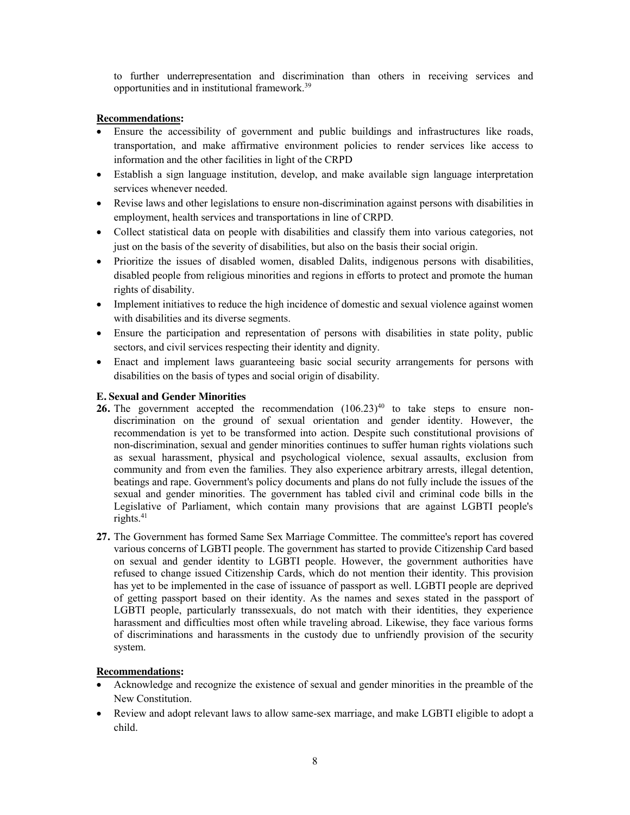to further underrepresentation and discrimination than others in receiving services and opportunities and in institutional framework. 39

### **Recommendations:**

- Ensure the accessibility of government and public buildings and infrastructures like roads, transportation, and make affirmative environment policies to render services like access to information and the other facilities in light of the CRPD
- Establish a sign language institution, develop, and make available sign language interpretation services whenever needed.
- Revise laws and other legislations to ensure non-discrimination against persons with disabilities in employment, health services and transportations in line of CRPD.
- Collect statistical data on people with disabilities and classify them into various categories, not just on the basis of the severity of disabilities, but also on the basis their social origin.
- Prioritize the issues of disabled women, disabled Dalits, indigenous persons with disabilities, disabled people from religious minorities and regions in efforts to protect and promote the human rights of disability.
- Implement initiatives to reduce the high incidence of domestic and sexual violence against women with disabilities and its diverse segments.
- Ensure the participation and representation of persons with disabilities in state polity, public sectors, and civil services respecting their identity and dignity.
- Enact and implement laws guaranteeing basic social security arrangements for persons with disabilities on the basis of types and social origin of disability.

## **E. Sexual and Gender Minorities**

- **26.** The government accepted the recommendation  $(106.23)^{40}$  to take steps to ensure nondiscrimination on the ground of sexual orientation and gender identity. However, the recommendation is yet to be transformed into action. Despite such constitutional provisions of non-discrimination, sexual and gender minorities continues to suffer human rights violations such as sexual harassment, physical and psychological violence, sexual assaults, exclusion from community and from even the families. They also experience arbitrary arrests, illegal detention, beatings and rape. Government's policy documents and plans do not fully include the issues of the sexual and gender minorities. The government has tabled civil and criminal code bills in the Legislative of Parliament, which contain many provisions that are against LGBTI people's rights. $41$
- **27.** The Government has formed Same Sex Marriage Committee. The committee's report has covered various concerns of LGBTI people. The government has started to provide Citizenship Card based on sexual and gender identity to LGBTI people. However, the government authorities have refused to change issued Citizenship Cards, which do not mention their identity. This provision has yet to be implemented in the case of issuance of passport as well. LGBTI people are deprived of getting passport based on their identity. As the names and sexes stated in the passport of LGBTI people, particularly transsexuals, do not match with their identities, they experience harassment and difficulties most often while traveling abroad. Likewise, they face various forms of discriminations and harassments in the custody due to unfriendly provision of the security system.

- x Acknowledge and recognize the existence of sexual and gender minorities in the preamble of the New Constitution.
- Review and adopt relevant laws to allow same-sex marriage, and make LGBTI eligible to adopt a child.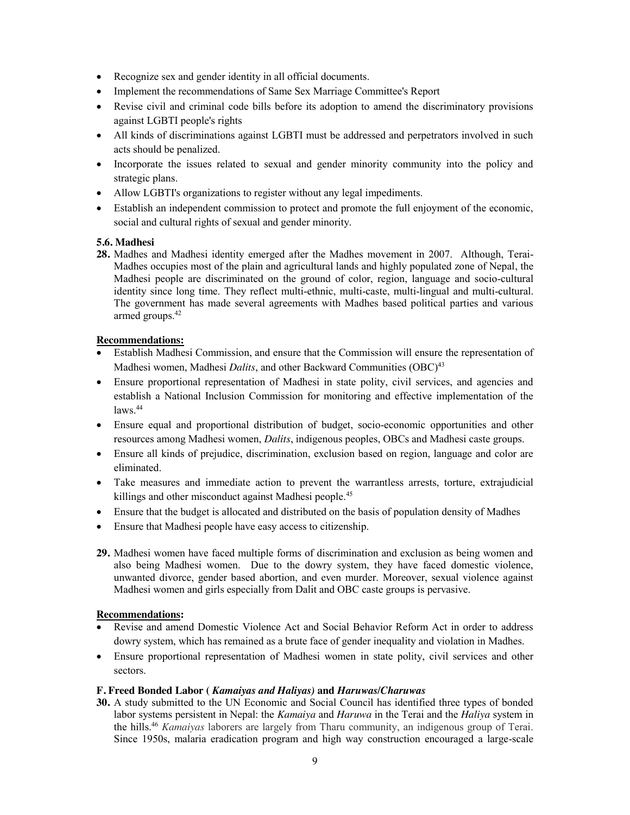- Recognize sex and gender identity in all official documents.
- Implement the recommendations of Same Sex Marriage Committee's Report
- Revise civil and criminal code bills before its adoption to amend the discriminatory provisions against LGBTI people's rights
- All kinds of discriminations against LGBTI must be addressed and perpetrators involved in such acts should be penalized.
- Incorporate the issues related to sexual and gender minority community into the policy and strategic plans.
- Allow LGBTI's organizations to register without any legal impediments.
- Establish an independent commission to protect and promote the full enjoyment of the economic, social and cultural rights of sexual and gender minority.

## **5.6. Madhesi**

**28.** Madhes and Madhesi identity emerged after the Madhes movement in 2007. Although, Terai-Madhes occupies most of the plain and agricultural lands and highly populated zone of Nepal, the Madhesi people are discriminated on the ground of color, region, language and socio-cultural identity since long time. They reflect multi-ethnic, multi-caste, multi-lingual and multi-cultural. The government has made several agreements with Madhes based political parties and various armed groups.42

## **Recommendations:**

- Establish Madhesi Commission, and ensure that the Commission will ensure the representation of Madhesi women, Madhesi *Dalits*, and other Backward Communities (OBC)<sup>43</sup>
- Ensure proportional representation of Madhesi in state polity, civil services, and agencies and establish a National Inclusion Commission for monitoring and effective implementation of the  $laws.44$
- Ensure equal and proportional distribution of budget, socio-economic opportunities and other resources among Madhesi women, *Dalits*, indigenous peoples, OBCs and Madhesi caste groups.
- Ensure all kinds of prejudice, discrimination, exclusion based on region, language and color are eliminated.
- Take measures and immediate action to prevent the warrantless arrests, torture, extrajudicial killings and other misconduct against Madhesi people.<sup>45</sup>
- Ensure that the budget is allocated and distributed on the basis of population density of Madhes
- Ensure that Madhesi people have easy access to citizenship.
- **29.** Madhesi women have faced multiple forms of discrimination and exclusion as being women and also being Madhesi women. Due to the dowry system, they have faced domestic violence, unwanted divorce, gender based abortion, and even murder. Moreover, sexual violence against Madhesi women and girls especially from Dalit and OBC caste groups is pervasive.

### **Recommendations:**

- Revise and amend Domestic Violence Act and Social Behavior Reform Act in order to address dowry system, which has remained as a brute face of gender inequality and violation in Madhes.
- Ensure proportional representation of Madhesi women in state polity, civil services and other sectors.

#### **F. Freed Bonded Labor (** *Kamaiyas and Haliyas)* **and** *Haruwas/Charuwas*

**30.** A study submitted to the UN Economic and Social Council has identified three types of bonded labor systems persistent in Nepal: the *Kamaiya* and *Haruwa* in the Terai and the *Haliya* system in the hills.46 *Kamaiyas* laborers are largely from Tharu community, an indigenous group of Terai. Since 1950s, malaria eradication program and high way construction encouraged a large-scale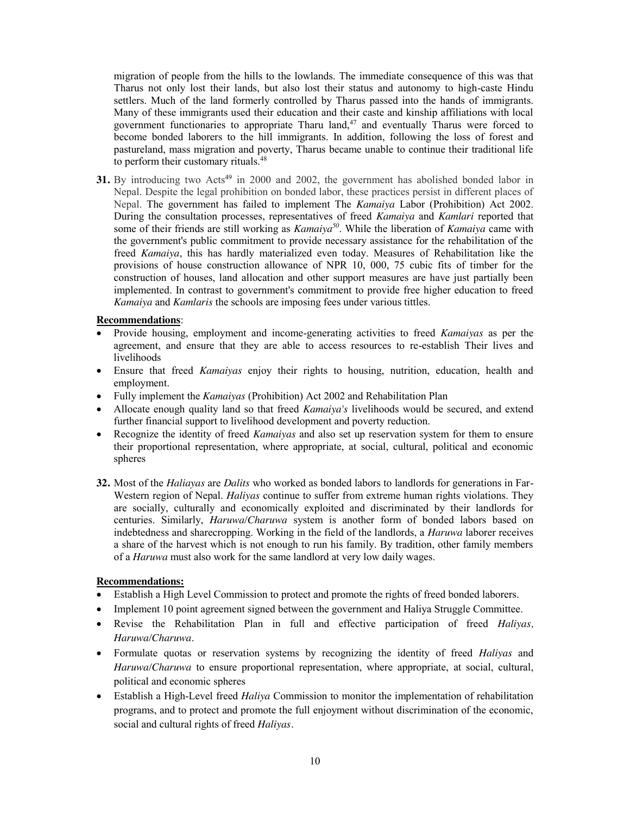migration of people from the hills to the lowlands. The immediate consequence of this was that Tharus not only lost their lands, but also lost their status and autonomy to high-caste Hindu settlers. Much of the land formerly controlled by Tharus passed into the hands of immigrants. Many of these immigrants used their education and their caste and kinship affiliations with local government functionaries to appropriate Tharu land, $47$  and eventually Tharus were forced to become bonded laborers to the hill immigrants. In addition, following the loss of forest and pastureland, mass migration and poverty, Tharus became unable to continue their traditional life to perform their customary rituals.<sup>48</sup>

**31.** By introducing two Acts<sup>49</sup> in 2000 and 2002, the government has abolished bonded labor in Nepal. Despite the legal prohibition on bonded labor, these practices persist in different places of Nepal. The government has failed to implement The *Kamaiya* Labor (Prohibition) Act 2002. During the consultation processes, representatives of freed *Kamaiya* and *Kamlari* reported that some of their friends are still working as *Kamaiya<sup>50</sup>*. While the liberation of *Kamaiya* came with the government's public commitment to provide necessary assistance for the rehabilitation of the freed *Kamaiya*, this has hardly materialized even today. Measures of Rehabilitation like the provisions of house construction allowance of NPR 10, 000, 75 cubic fits of timber for the construction of houses, land allocation and other support measures are have just partially been implemented. In contrast to government's commitment to provide free higher education to freed *Kamaiya* and *Kamlaris* the schools are imposing fees under various tittles.

### **Recommendations**:

- x Provide housing, employment and income-generating activities to freed *Kamaiyas* as per the agreement, and ensure that they are able to access resources to re-establish Their lives and livelihoods
- x Ensure that freed *Kamaiyas* enjoy their rights to housing, nutrition, education, health and employment.
- x Fully implement the *Kamaiyas* (Prohibition) Act 2002 and Rehabilitation Plan
- x Allocate enough quality land so that freed *Kamaiya's* livelihoods would be secured, and extend further financial support to livelihood development and poverty reduction.
- x Recognize the identity of freed *Kamaiyas* and also set up reservation system for them to ensure their proportional representation, where appropriate, at social, cultural, political and economic spheres
- **32.** Most of the *Haliayas* are *Dalits* who worked as bonded labors to landlords for generations in Far-Western region of Nepal. *Haliyas* continue to suffer from extreme human rights violations. They are socially, culturally and economically exploited and discriminated by their landlords for centuries. Similarly, *Haruwa/Charuwa* system is another form of bonded labors based on indebtedness and sharecropping. Working in the field of the landlords, a *Haruwa* laborer receives a share of the harvest which is not enough to run his family. By tradition, other family members of a *Haruwa* must also work for the same landlord at very low daily wages.

- Establish a High Level Commission to protect and promote the rights of freed bonded laborers.
- Implement 10 point agreement signed between the government and Haliya Struggle Committee.
- x Revise the Rehabilitation Plan in full and effective participation of freed *Haliyas, Haruwa/Charuwa*.
- x Formulate quotas or reservation systems by recognizing the identity of freed *Haliyas* and *Haruwa/Charuwa* to ensure proportional representation, where appropriate, at social, cultural, political and economic spheres
- x Establish a High-Level freed *Haliya* Commission to monitor the implementation of rehabilitation programs, and to protect and promote the full enjoyment without discrimination of the economic, social and cultural rights of freed *Haliyas.*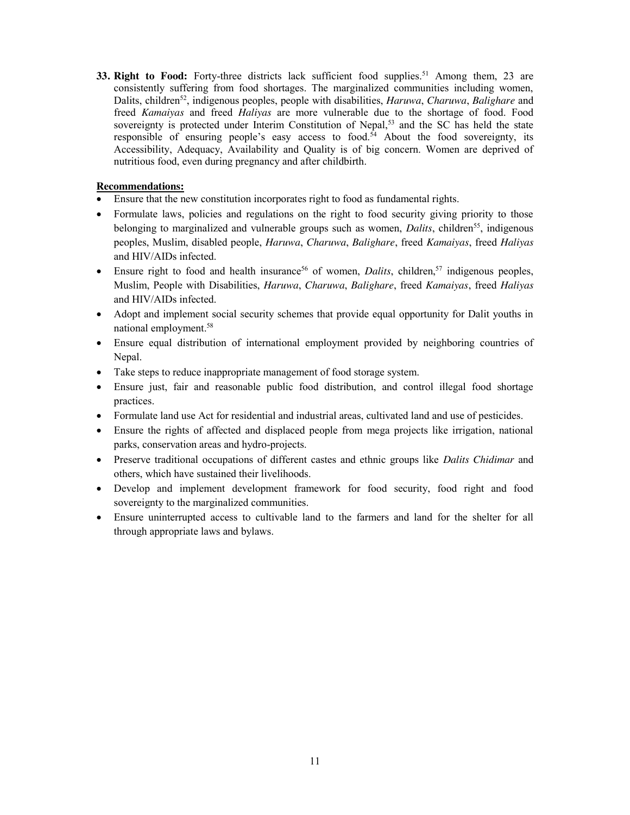**33. Right to Food:** Forty-three districts lack sufficient food supplies.<sup>51</sup> Among them, 23 are consistently suffering from food shortages. The marginalized communities including women, Dalits, children52, indigenous peoples, people with disabilities, *Haruwa*, *Charuwa*, *Balighare* and freed *Kamaiyas* and freed *Haliyas* are more vulnerable due to the shortage of food. Food sovereignty is protected under Interim Constitution of Nepal,<sup>53</sup> and the SC has held the state responsible of ensuring people's easy access to food.<sup>54</sup> About the food sovereignty, its Accessibility, Adequacy, Availability and Quality is of big concern. Women are deprived of nutritious food, even during pregnancy and after childbirth.

- Ensure that the new constitution incorporates right to food as fundamental rights.
- Formulate laws, policies and regulations on the right to food security giving priority to those belonging to marginalized and vulnerable groups such as women, *Dalits*, children<sup>55</sup>, indigenous peoples, Muslim, disabled people, *Haruwa*, *Charuwa*, *Balighare*, freed *Kamaiyas*, freed *Haliyas* and HIV/AIDs infected.
- Ensure right to food and health insurance<sup>56</sup> of women, *Dalits*, children,<sup>57</sup> indigenous peoples, Muslim, People with Disabilities, *Haruwa*, *Charuwa*, *Balighare*, freed *Kamaiyas*, freed *Haliyas* and HIV/AIDs infected.
- Adopt and implement social security schemes that provide equal opportunity for Dalit youths in national employment.58
- Ensure equal distribution of international employment provided by neighboring countries of Nepal.
- Take steps to reduce inappropriate management of food storage system.
- Ensure just, fair and reasonable public food distribution, and control illegal food shortage practices.
- Formulate land use Act for residential and industrial areas, cultivated land and use of pesticides.
- Ensure the rights of affected and displaced people from mega projects like irrigation, national parks, conservation areas and hydro-projects.
- x Preserve traditional occupations of different castes and ethnic groups like *Dalits Chidimar* and others, which have sustained their livelihoods.
- Develop and implement development framework for food security, food right and food sovereignty to the marginalized communities.
- Ensure uninterrupted access to cultivable land to the farmers and land for the shelter for all through appropriate laws and bylaws.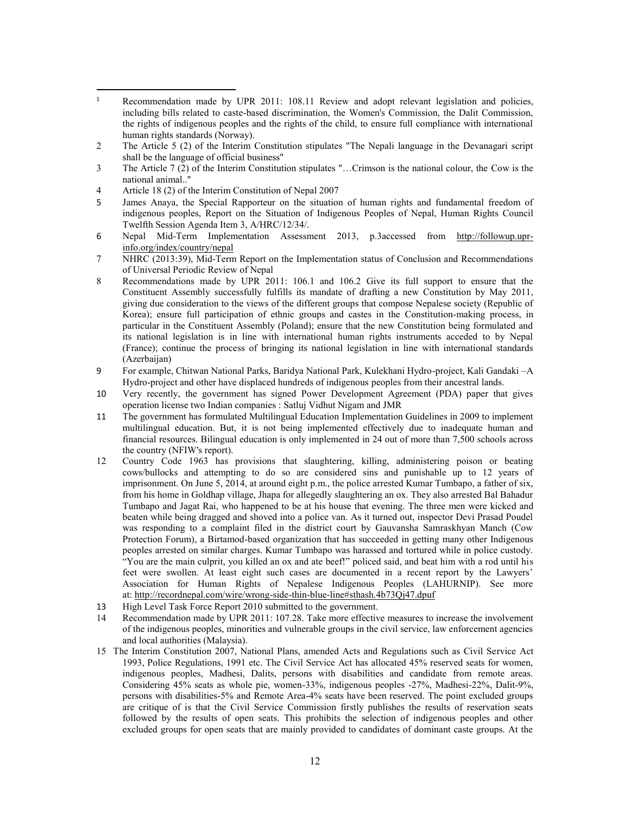- $\overline{a}$ <sup>1</sup> Recommendation made by UPR 2011: 108.11 Review and adopt relevant legislation and policies, including bills related to caste-based discrimination, the Women's Commission, the Dalit Commission, the rights of indigenous peoples and the rights of the child, to ensure full compliance with international human rights standards (Norway).
- 2 The Article 5 (2) of the Interim Constitution stipulates "The Nepali language in the Devanagari script shall be the language of official business"
- 3 The Article 7 (2) of the Interim Constitution stipulates "…Crimson is the national colour, the Cow is the national animal.."
- 4 Article 18 (2) of the Interim Constitution of Nepal 2007
- 5 James Anaya, the Special Rapporteur on the situation of human rights and fundamental freedom of indigenous peoples, Report on the Situation of Indigenous Peoples of Nepal, Human Rights Council Twelfth Session Agenda Item 3, A/HRC/12/34/.
- 6 Nepal Mid-Term Implementation Assessment 2013, p.3accessed from http://followup.uprinfo.org/index/country/nepal
- 7 NHRC (2013:39), Mid-Term Report on the Implementation status of Conclusion and Recommendations of Universal Periodic Review of Nepal
- 8 Recommendations made by UPR 2011: 106.1 and 106.2 Give its full support to ensure that the Constituent Assembly successfully fulfills its mandate of drafting a new Constitution by May 2011, giving due consideration to the views of the different groups that compose Nepalese society (Republic of Korea); ensure full participation of ethnic groups and castes in the Constitution-making process, in particular in the Constituent Assembly (Poland); ensure that the new Constitution being formulated and its national legislation is in line with international human rights instruments acceded to by Nepal (France); continue the process of bringing its national legislation in line with international standards (Azerbaijan)
- 9 For example, Chitwan National Parks, Baridya National Park, Kulekhani Hydro-project, Kali Gandaki –A Hydro-project and other have displaced hundreds of indigenous peoples from their ancestral lands.
- 10 Very recently, the government has signed Power Development Agreement (PDA) paper that gives operation license two Indian companies : Satluj Vidhut Nigam and JMR
- 11 The government has formulated Multilingual Education Implementation Guidelines in 2009 to implement multilingual education. But, it is not being implemented effectively due to inadequate human and financial resources. Bilingual education is only implemented in 24 out of more than 7,500 schools across the country (NFIW's report).
- 12 Country Code 1963 has provisions that slaughtering, killing, administering poison or beating cows/bullocks and attempting to do so are considered sins and punishable up to 12 years of imprisonment. On June 5, 2014, at around eight p.m., the police arrested Kumar Tumbapo, a father of six, from his home in Goldhap village, Jhapa for allegedly slaughtering an ox. They also arrested Bal Bahadur Tumbapo and Jagat Rai, who happened to be at his house that evening. The three men were kicked and beaten while being dragged and shoved into a police van. As it turned out, inspector Devi Prasad Poudel was responding to a complaint filed in the district court by Gauvansha Samraskhyan Manch (Cow Protection Forum), a Birtamod-based organization that has succeeded in getting many other Indigenous peoples arrested on similar charges. Kumar Tumbapo was harassed and tortured while in police custody. "You are the main culprit, you killed an ox and ate beef!" policed said, and beat him with a rod until his feet were swollen. At least eight such cases are documented in a recent report by the Lawyers' Association for Human Rights of Nepalese Indigenous Peoples (LAHURNIP). See more at: http://recordnepal.com/wire/wrong-side-thin-blue-line#sthash.4b73Qj47.dpuf
- 13 High Level Task Force Report 2010 submitted to the government.
- 14 Recommendation made by UPR 2011: 107.28. Take more effective measures to increase the involvement of the indigenous peoples, minorities and vulnerable groups in the civil service, law enforcement agencies and local authorities (Malaysia).
- 15 The Interim Constitution 2007, National Plans, amended Acts and Regulations such as Civil Service Act 1993, Police Regulations, 1991 etc. The Civil Service Act has allocated 45% reserved seats for women, indigenous peoples, Madhesi, Dalits, persons with disabilities and candidate from remote areas. Considering 45% seats as whole pie, women-33%, indigenous peoples -27%, Madhesi-22%, Dalit-9%, persons with disabilities-5% and Remote Area-4% seats have been reserved. The point excluded groups are critique of is that the Civil Service Commission firstly publishes the results of reservation seats followed by the results of open seats. This prohibits the selection of indigenous peoples and other excluded groups for open seats that are mainly provided to candidates of dominant caste groups. At the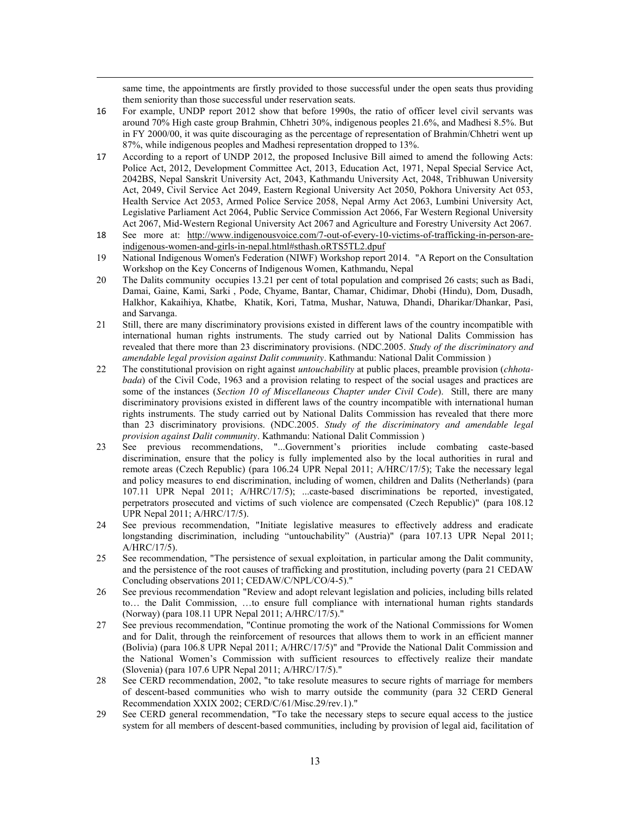same time, the appointments are firstly provided to those successful under the open seats thus providing them seniority than those successful under reservation seats.

16 For example, UNDP report 2012 show that before 1990s, the ratio of officer level civil servants was around 70% High caste group Brahmin, Chhetri 30%, indigenous peoples 21.6%, and Madhesi 8.5%. But in FY 2000/00, it was quite discouraging as the percentage of representation of Brahmin/Chhetri went up 87%, while indigenous peoples and Madhesi representation dropped to 13%.

l

- 17 According to a report of UNDP 2012, the proposed Inclusive Bill aimed to amend the following Acts: Police Act, 2012, Development Committee Act, 2013, Education Act, 1971, Nepal Special Service Act, 2042BS, Nepal Sanskrit University Act, 2043, Kathmandu University Act, 2048, Tribhuwan University Act, 2049, Civil Service Act 2049, Eastern Regional University Act 2050, Pokhora University Act 053, Health Service Act 2053, Armed Police Service 2058, Nepal Army Act 2063, Lumbini University Act, Legislative Parliament Act 2064, Public Service Commission Act 2066, Far Western Regional University Act 2067, Mid-Western Regional University Act 2067 and Agriculture and Forestry University Act 2067.
- 18 See more at: http://www.indigenousvoice.com/7-out-of-every-10-victims-of-trafficking-in-person-areindigenous-women-and-girls-in-nepal.html#sthash.oRTS5TL2.dpuf
- 19 National Indigenous Women's Federation (NIWF) Workshop report 2014. "A Report on the Consultation Workshop on the Key Concerns of Indigenous Women, Kathmandu, Nepal
- 20 The Dalits community occupies 13.21 per cent of total population and comprised 26 casts; such as Badi, Damai, Gaine, Kami, Sarki , Pode, Chyame, Bantar, Chamar, Chidimar, Dhobi (Hindu), Dom, Dusadh, Halkhor, Kakaihiya, Khatbe, Khatik, Kori, Tatma, Mushar, Natuwa, Dhandi, Dharikar/Dhankar, Pasi, and Sarvanga.
- 21 Still, there are many discriminatory provisions existed in different laws of the country incompatible with international human rights instruments. The study carried out by National Dalits Commission has revealed that there more than 23 discriminatory provisions. (NDC.2005. *Study of the discriminatory and amendable legal provision against Dalit community*. Kathmandu: National Dalit Commission )
- 22 The constitutional provision on right against *untouchability* at public places, preamble provision (*chhotabada*) of the Civil Code, 1963 and a provision relating to respect of the social usages and practices are some of the instances (*Section 10 of Miscellaneous Chapter under Civil Code*). Still, there are many discriminatory provisions existed in different laws of the country incompatible with international human rights instruments. The study carried out by National Dalits Commission has revealed that there more than 23 discriminatory provisions. (NDC.2005. *Study of the discriminatory and amendable legal provision against Dalit community*. Kathmandu: National Dalit Commission )
- 23 See previous recommendations, "...Government's priorities include combating caste-based discrimination, ensure that the policy is fully implemented also by the local authorities in rural and remote areas (Czech Republic) (para 106.24 UPR Nepal 2011; A/HRC/17/5); Take the necessary legal and policy measures to end discrimination, including of women, children and Dalits (Netherlands) (para 107.11 UPR Nepal 2011; A/HRC/17/5); ...caste-based discriminations be reported, investigated, perpetrators prosecuted and victims of such violence are compensated (Czech Republic)" (para 108.12 UPR Nepal 2011; A/HRC/17/5).
- 24 See previous recommendation, "Initiate legislative measures to effectively address and eradicate longstanding discrimination, including "untouchability" (Austria)" (para 107.13 UPR Nepal 2011; A/HRC/17/5).
- 25 See recommendation, "The persistence of sexual exploitation, in particular among the Dalit community, and the persistence of the root causes of trafficking and prostitution, including poverty (para 21 CEDAW Concluding observations 2011; CEDAW/C/NPL/CO/4-5)."
- 26 See previous recommendation "Review and adopt relevant legislation and policies, including bills related to… the Dalit Commission, …to ensure full compliance with international human rights standards (Norway) (para 108.11 UPR Nepal 2011; A/HRC/17/5)."
- 27 See previous recommendation, "Continue promoting the work of the National Commissions for Women and for Dalit, through the reinforcement of resources that allows them to work in an efficient manner (Bolivia) (para 106.8 UPR Nepal 2011; A/HRC/17/5)" and "Provide the National Dalit Commission and the National Women's Commission with sufficient resources to effectively realize their mandate (Slovenia) (para 107.6 UPR Nepal 2011; A/HRC/17/5)."
- 28 See CERD recommendation, 2002, "to take resolute measures to secure rights of marriage for members of descent-based communities who wish to marry outside the community (para 32 CERD General Recommendation XXIX 2002; CERD/C/61/Misc.29/rev.1)."
- 29 See CERD general recommendation, "To take the necessary steps to secure equal access to the justice system for all members of descent-based communities, including by provision of legal aid, facilitation of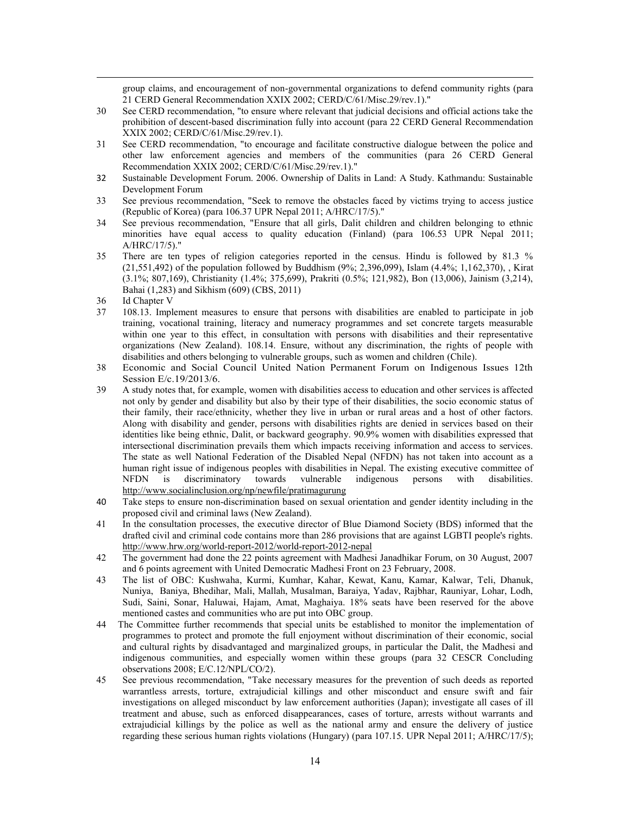group claims, and encouragement of non-governmental organizations to defend community rights (para 21 CERD General Recommendation XXIX 2002; CERD/C/61/Misc.29/rev.1)."

- 30 See CERD recommendation, "to ensure where relevant that judicial decisions and official actions take the prohibition of descent-based discrimination fully into account (para 22 CERD General Recommendation XXIX 2002; CERD/C/61/Misc.29/rev.1).
- 31 See CERD recommendation, "to encourage and facilitate constructive dialogue between the police and other law enforcement agencies and members of the communities (para 26 CERD General Recommendation XXIX 2002; CERD/C/61/Misc.29/rev.1)."
- 32 Sustainable Development Forum. 2006. Ownership of Dalits in Land: A Study. Kathmandu: Sustainable Development Forum
- 33 See previous recommendation, "Seek to remove the obstacles faced by victims trying to access justice (Republic of Korea) (para 106.37 UPR Nepal 2011; A/HRC/17/5)."
- 34 See previous recommendation, "Ensure that all girls, Dalit children and children belonging to ethnic minorities have equal access to quality education (Finland) (para 106.53 UPR Nepal 2011; A/HRC/17/5)."
- 35 There are ten types of religion categories reported in the census. Hindu is followed by 81.3 % (21,551,492) of the population followed by Buddhism (9%; 2,396,099), Islam (4.4%; 1,162,370), , Kirat (3.1%; 807,169), Christianity (1.4%; 375,699), Prakriti (0.5%; 121,982), Bon (13,006), Jainism (3,214), Bahai (1,283) and Sikhism (609) (CBS, 2011)
- 36 Id Chapter V

l

- 37 108.13. Implement measures to ensure that persons with disabilities are enabled to participate in job training, vocational training, literacy and numeracy programmes and set concrete targets measurable within one year to this effect, in consultation with persons with disabilities and their representative organizations (New Zealand). 108.14. Ensure, without any discrimination, the rights of people with disabilities and others belonging to vulnerable groups, such as women and children (Chile).
- 38 Economic and Social Council United Nation Permanent Forum on Indigenous Issues 12th Session E/c.19/2013/6.
- 39 A study notes that, for example, women with disabilities access to education and other services is affected not only by gender and disability but also by their type of their disabilities, the socio economic status of their family, their race/ethnicity, whether they live in urban or rural areas and a host of other factors. Along with disability and gender, persons with disabilities rights are denied in services based on their identities like being ethnic, Dalit, or backward geography. 90.9% women with disabilities expressed that intersectional discrimination prevails them which impacts receiving information and access to services. The state as well National Federation of the Disabled Nepal (NFDN) has not taken into account as a human right issue of indigenous peoples with disabilities in Nepal. The existing executive committee of NFDN is discriminatory towards vulnerable indigenous persons with disabilities. http://www.socialinclusion.org/np/newfile/pratimagurung
- 40 Take steps to ensure non-discrimination based on sexual orientation and gender identity including in the proposed civil and criminal laws (New Zealand).
- 41 In the consultation processes, the executive director of Blue Diamond Society (BDS) informed that the drafted civil and criminal code contains more than 286 provisions that are against LGBTI people's rights. http://www.hrw.org/world-report-2012/world-report-2012-nepal
- 42 The government had done the 22 points agreement with Madhesi Janadhikar Forum, on 30 August, 2007 and 6 points agreement with United Democratic Madhesi Front on 23 February, 2008.
- 43 The list of OBC: Kushwaha, Kurmi, Kumhar, Kahar, Kewat, Kanu, Kamar, Kalwar, Teli, Dhanuk, Nuniya, Baniya, Bhedihar, Mali, Mallah, Musalman, Baraiya, Yadav, Rajbhar, Rauniyar, Lohar, Lodh, Sudi, Saini, Sonar, Haluwai, Hajam, Amat, Maghaiya. 18% seats have been reserved for the above mentioned castes and communities who are put into OBC group.
- 44 The Committee further recommends that special units be established to monitor the implementation of programmes to protect and promote the full enjoyment without discrimination of their economic, social and cultural rights by disadvantaged and marginalized groups, in particular the Dalit, the Madhesi and indigenous communities, and especially women within these groups (para 32 CESCR Concluding observations 2008; E/C.12/NPL/CO/2).
- 45 See previous recommendation, "Take necessary measures for the prevention of such deeds as reported warrantless arrests, torture, extrajudicial killings and other misconduct and ensure swift and fair investigations on alleged misconduct by law enforcement authorities (Japan); investigate all cases of ill treatment and abuse, such as enforced disappearances, cases of torture, arrests without warrants and extrajudicial killings by the police as well as the national army and ensure the delivery of justice regarding these serious human rights violations (Hungary) (para 107.15. UPR Nepal 2011; A/HRC/17/5);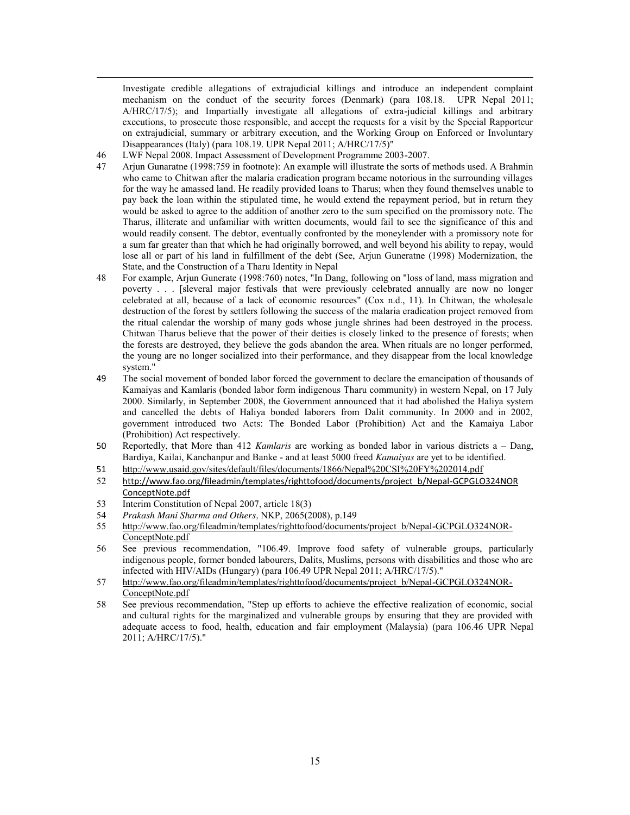Investigate credible allegations of extrajudicial killings and introduce an independent complaint mechanism on the conduct of the security forces (Denmark) (para 108.18. UPR Nepal 2011; A/HRC/17/5); and Impartially investigate all allegations of extra-judicial killings and arbitrary executions, to prosecute those responsible, and accept the requests for a visit by the Special Rapporteur on extrajudicial, summary or arbitrary execution, and the Working Group on Enforced or Involuntary Disappearances (Italy) (para 108.19. UPR Nepal 2011; A/HRC/17/5)"

46 LWF Nepal 2008. Impact Assessment of Development Programme 2003-2007.

l

- 47 Arjun Gunaratne (1998:759 in footnote): An example will illustrate the sorts of methods used. A Brahmin who came to Chitwan after the malaria eradication program became notorious in the surrounding villages for the way he amassed land. He readily provided loans to Tharus; when they found themselves unable to pay back the loan within the stipulated time, he would extend the repayment period, but in return they would be asked to agree to the addition of another zero to the sum specified on the promissory note. The Tharus, illiterate and unfamiliar with written documents, would fail to see the significance of this and would readily consent. The debtor, eventually confronted by the moneylender with a promissory note for a sum far greater than that which he had originally borrowed, and well beyond his ability to repay, would lose all or part of his land in fulfillment of the debt (See, Arjun Guneratne (1998) Modernization, the State, and the Construction of a Tharu Identity in Nepal
- 48 For example, Arjun Gunerate (1998:760) notes, "In Dang, following on "loss of land, mass migration and poverty . . . [sleveral major festivals that were previously celebrated annually are now no longer celebrated at all, because of a lack of economic resources" (Cox n.d., 11). In Chitwan, the wholesale destruction of the forest by settlers following the success of the malaria eradication project removed from the ritual calendar the worship of many gods whose jungle shrines had been destroyed in the process. Chitwan Tharus believe that the power of their deities is closely linked to the presence of forests; when the forests are destroyed, they believe the gods abandon the area. When rituals are no longer performed, the young are no longer socialized into their performance, and they disappear from the local knowledge system."
- 49 The social movement of bonded labor forced the government to declare the emancipation of thousands of Kamaiyas and Kamlaris (bonded labor form indigenous Tharu community) in western Nepal, on 17 July 2000. Similarly, in September 2008, the Government announced that it had abolished the Haliya system and cancelled the debts of Haliya bonded laborers from Dalit community. In 2000 and in 2002, government introduced two Acts: The Bonded Labor (Prohibition) Act and the Kamaiya Labor (Prohibition) Act respectively.
- 50 Reportedly, that More than 412 *Kamlaris* are working as bonded labor in various districts a Dang, Bardiya, Kailai, Kanchanpur and Banke - and at least 5000 freed *Kamaiyas* are yet to be identified.
- 51 http://www.usaid.gov/sites/default/files/documents/1866/Nepal%20CSI%20FY%202014.pdf
- 52 http://www.fao.org/fileadmin/templates/righttofood/documents/project\_b/Nepal-GCPGLO324NOR ConceptNote.pdf
- 53 Interim Constitution of Nepal 2007, article 18(3)
- 54 *Prakash Mani Sharma and Others,* NKP, 2065(2008), p.149
- http://www.fao.org/fileadmin/templates/righttofood/documents/project\_b/Nepal-GCPGLO324NOR-ConceptNote.pdf
- 56 See previous recommendation, "106.49. Improve food safety of vulnerable groups, particularly indigenous people, former bonded labourers, Dalits, Muslims, persons with disabilities and those who are infected with HIV/AIDs (Hungary) (para 106.49 UPR Nepal 2011; A/HRC/17/5)."
- 57 http://www.fao.org/fileadmin/templates/righttofood/documents/project\_b/Nepal-GCPGLO324NOR-ConceptNote.pdf
- 58 See previous recommendation, "Step up efforts to achieve the effective realization of economic, social and cultural rights for the marginalized and vulnerable groups by ensuring that they are provided with adequate access to food, health, education and fair employment (Malaysia) (para 106.46 UPR Nepal 2011; A/HRC/17/5)."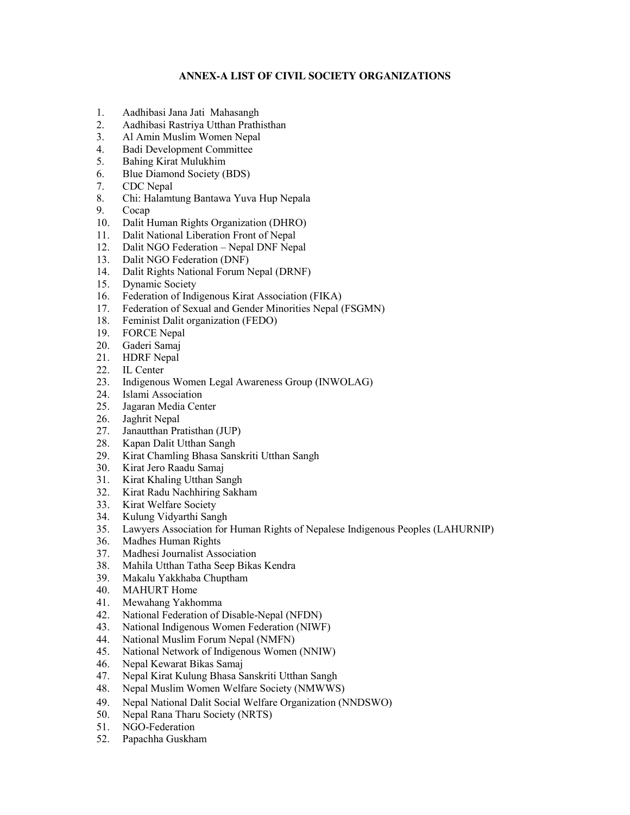## **ANNEX-A LIST OF CIVIL SOCIETY ORGANIZATIONS**

- 1. Aadhibasi Jana Jati Mahasangh<br>2. Aadhibasi Rastriya Utthan Prath
- 2. Aadhibasi Rastriya Utthan Prathisthan
- 3. Al Amin Muslim Women Nepal
- 4. Badi Development Committee
- 5. Bahing Kirat Mulukhim
- 6. Blue Diamond Society (BDS)
- 7. CDC Nepal
- 8. Chi: Halamtung Bantawa Yuva Hup Nepala
- 9. Cocap
- 10. Dalit Human Rights Organization (DHRO)
- 11. Dalit National Liberation Front of Nepal
- 12. Dalit NGO Federation Nepal DNF Nepal
- 13. Dalit NGO Federation (DNF)
- 14. Dalit Rights National Forum Nepal (DRNF)
- 15. Dynamic Society
- 16. Federation of Indigenous Kirat Association (FIKA)
- 17. Federation of Sexual and Gender Minorities Nepal (FSGMN)
- 18. Feminist Dalit organization (FEDO)
- 19. FORCE Nepal
- 20. Gaderi Samaj
- 21. HDRF Nepal
- 22. IL Center
- 23. Indigenous Women Legal Awareness Group (INWOLAG)
- 24. Islami Association
- 25. Jagaran Media Center
- 26. Jaghrit Nepal
- 27. Janautthan Pratisthan (JUP)
- 28. Kapan Dalit Utthan Sangh
- 29. Kirat Chamling Bhasa Sanskriti Utthan Sangh
- 30. Kirat Jero Raadu Samaj
- 31. Kirat Khaling Utthan Sangh
- 32. Kirat Radu Nachhiring Sakham
- 33. Kirat Welfare Society
- 34. Kulung Vidyarthi Sangh
- 35. Lawyers Association for Human Rights of Nepalese Indigenous Peoples (LAHURNIP)
- 36. Madhes Human Rights
- 37. Madhesi Journalist Association
- 38. Mahila Utthan Tatha Seep Bikas Kendra
- 39. Makalu Yakkhaba Chuptham
- 40. MAHURT Home<br>41. Mewahang Yakho
- Mewahang Yakhomma
- 42. National Federation of Disable-Nepal (NFDN)
- 43. National Indigenous Women Federation (NIWF)
- 44. National Muslim Forum Nepal (NMFN)
- 45. National Network of Indigenous Women (NNIW)
- 46. Nepal Kewarat Bikas Samaj
- 47. Nepal Kirat Kulung Bhasa Sanskriti Utthan Sangh
- 48. Nepal Muslim Women Welfare Society (NMWWS)
- 49. Nepal National Dalit Social Welfare Organization (NNDSWO)
- 50. Nepal Rana Tharu Society (NRTS)
- 51. NGO-Federation
- 52. Papachha Guskham